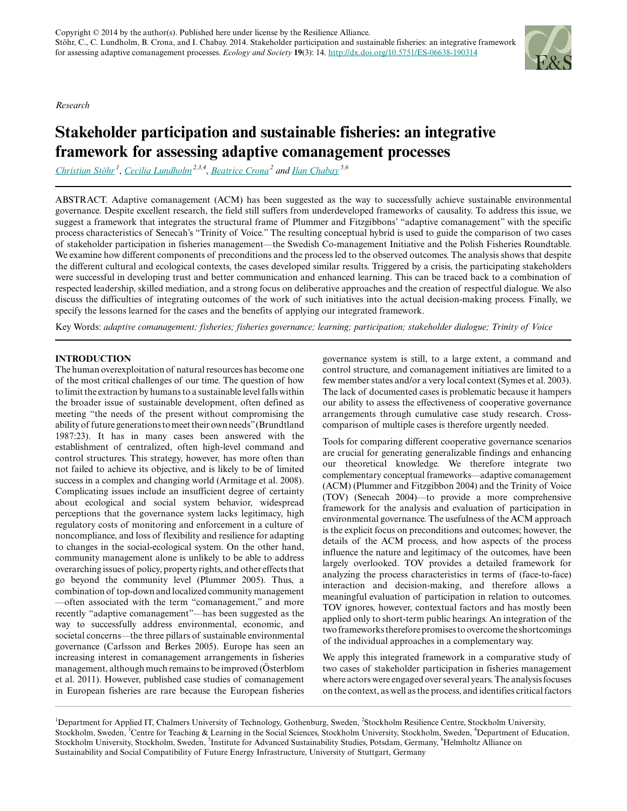*Research*



# **Stakeholder participation and sustainable fisheries: an integrative framework for assessing adaptive comanagement processes**

*[Christian Stöhr](mailto:christian.stohr@chalmers.se)<sup>1</sup>* , *[Cecilia Lundholm](mailto:cecilia.lundholm@cesam.su.se) 2,3,4* , *[Beatrice Crona](mailto:beatrice.crona@stockholmresilience.su.se)<sup>2</sup> and [Ilan Chabay](mailto:ilan.chabay@gmail.com) 5,6*

ABSTRACT. Adaptive comanagement (ACM) has been suggested as the way to successfully achieve sustainable environmental governance. Despite excellent research, the field still suffers from underdeveloped frameworks of causality. To address this issue, we suggest a framework that integrates the structural frame of Plummer and Fitzgibbons' "adaptive comanagement" with the specific process characteristics of Senecah's "Trinity of Voice." The resulting conceptual hybrid is used to guide the comparison of two cases of stakeholder participation in fisheries management—the Swedish Co-management Initiative and the Polish Fisheries Roundtable. We examine how different components of preconditions and the process led to the observed outcomes. The analysis shows that despite the different cultural and ecological contexts, the cases developed similar results. Triggered by a crisis, the participating stakeholders were successful in developing trust and better communication and enhanced learning. This can be traced back to a combination of respected leadership, skilled mediation, and a strong focus on deliberative approaches and the creation of respectful dialogue. We also discuss the difficulties of integrating outcomes of the work of such initiatives into the actual decision-making process. Finally, we specify the lessons learned for the cases and the benefits of applying our integrated framework.

Key Words: *adaptive comanagement; fisheries; fisheries governance; learning; participation; stakeholder dialogue; Trinity of Voice*

# **INTRODUCTION**

The human overexploitation of natural resources has become one of the most critical challenges of our time. The question of how to limit the extraction by humans to a sustainable level falls within the broader issue of sustainable development, often defined as meeting "the needs of the present without compromising the ability of future generations to meet their own needs" (Brundtland 1987:23). It has in many cases been answered with the establishment of centralized, often high-level command and control structures. This strategy, however, has more often than not failed to achieve its objective, and is likely to be of limited success in a complex and changing world (Armitage et al. 2008). Complicating issues include an insufficient degree of certainty about ecological and social system behavior, widespread perceptions that the governance system lacks legitimacy, high regulatory costs of monitoring and enforcement in a culture of noncompliance, and loss of flexibility and resilience for adapting to changes in the social-ecological system. On the other hand, community management alone is unlikely to be able to address overarching issues of policy, property rights, and other effects that go beyond the community level (Plummer 2005). Thus, a combination of top-down and localized community management —often associated with the term "comanagement," and more recently "adaptive comanagement"—has been suggested as the way to successfully address environmental, economic, and societal concerns—the three pillars of sustainable environmental governance (Carlsson and Berkes 2005). Europe has seen an increasing interest in comanagement arrangements in fisheries management, although much remains to be improved (Österblom et al. 2011). However, published case studies of comanagement in European fisheries are rare because the European fisheries

governance system is still, to a large extent, a command and control structure, and comanagement initiatives are limited to a few member states and/or a very local context (Symes et al. 2003). The lack of documented cases is problematic because it hampers our ability to assess the effectiveness of cooperative governance arrangements through cumulative case study research. Crosscomparison of multiple cases is therefore urgently needed.

Tools for comparing different cooperative governance scenarios are crucial for generating generalizable findings and enhancing our theoretical knowledge. We therefore integrate two complementary conceptual frameworks—adaptive comanagement (ACM) (Plummer and Fitzgibbon 2004) and the Trinity of Voice (TOV) (Senecah 2004)—to provide a more comprehensive framework for the analysis and evaluation of participation in environmental governance. The usefulness of the ACM approach is the explicit focus on preconditions and outcomes; however, the details of the ACM process, and how aspects of the process influence the nature and legitimacy of the outcomes, have been largely overlooked. TOV provides a detailed framework for analyzing the process characteristics in terms of (face-to-face) interaction and decision-making, and therefore allows a meaningful evaluation of participation in relation to outcomes. TOV ignores, however, contextual factors and has mostly been applied only to short-term public hearings. An integration of the two frameworks therefore promises to overcome the shortcomings of the individual approaches in a complementary way.

We apply this integrated framework in a comparative study of two cases of stakeholder participation in fisheries management where actors were engaged over several years. The analysis focuses on the context, as well as the process, and identifies critical factors

<sup>&</sup>lt;sup>1</sup>Department for Applied IT, Chalmers University of Technology, Gothenburg, Sweden, <sup>2</sup>Stockholm Resilience Centre, Stockholm University, Stockholm, Sweden, <sup>3</sup>Centre for Teaching & Learning in the Social Sciences, Stockholm University, Stockholm, Sweden, <sup>4</sup>Department of Education, Stockholm University, Stockholm, Sweden, <sup>5</sup>Institute for Advanced Sustainability Studies, Potsdam, Germany, <sup>6</sup>Helmholtz Alliance on Sustainability and Social Compatibility of Future Energy Infrastructure, University of Stuttgart, Germany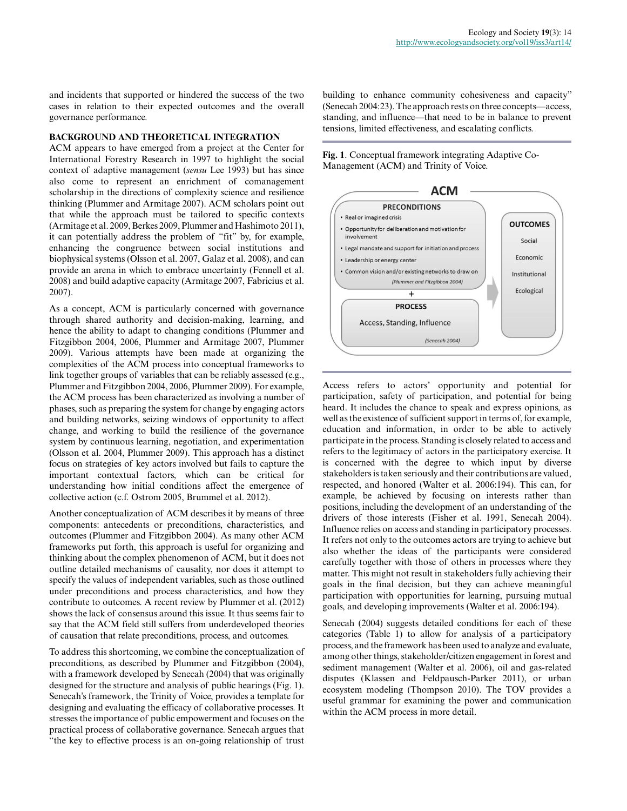and incidents that supported or hindered the success of the two cases in relation to their expected outcomes and the overall governance performance.

## **BACKGROUND AND THEORETICAL INTEGRATION**

ACM appears to have emerged from a project at the Center for International Forestry Research in 1997 to highlight the social context of adaptive management (*sensu* Lee 1993) but has since also come to represent an enrichment of comanagement scholarship in the directions of complexity science and resilience thinking (Plummer and Armitage 2007). ACM scholars point out that while the approach must be tailored to specific contexts (Armitage et al. 2009, Berkes 2009, Plummer and Hashimoto 2011), it can potentially address the problem of "fit" by, for example, enhancing the congruence between social institutions and biophysical systems (Olsson et al. 2007, Galaz et al. 2008), and can provide an arena in which to embrace uncertainty (Fennell et al. 2008) and build adaptive capacity (Armitage 2007, Fabricius et al. 2007).

As a concept, ACM is particularly concerned with governance through shared authority and decision-making, learning, and hence the ability to adapt to changing conditions (Plummer and Fitzgibbon 2004, 2006, Plummer and Armitage 2007, Plummer 2009). Various attempts have been made at organizing the complexities of the ACM process into conceptual frameworks to link together groups of variables that can be reliably assessed (e.g., Plummer and Fitzgibbon 2004, 2006, Plummer 2009). For example, the ACM process has been characterized as involving a number of phases, such as preparing the system for change by engaging actors and building networks, seizing windows of opportunity to affect change, and working to build the resilience of the governance system by continuous learning, negotiation, and experimentation (Olsson et al. 2004, Plummer 2009). This approach has a distinct focus on strategies of key actors involved but fails to capture the important contextual factors, which can be critical for understanding how initial conditions affect the emergence of collective action (c.f. Ostrom 2005, Brummel et al. 2012).

Another conceptualization of ACM describes it by means of three components: antecedents or preconditions, characteristics, and outcomes (Plummer and Fitzgibbon 2004). As many other ACM frameworks put forth, this approach is useful for organizing and thinking about the complex phenomenon of ACM, but it does not outline detailed mechanisms of causality, nor does it attempt to specify the values of independent variables, such as those outlined under preconditions and process characteristics, and how they contribute to outcomes. A recent review by Plummer et al. (2012) shows the lack of consensus around this issue. It thus seems fair to say that the ACM field still suffers from underdeveloped theories of causation that relate preconditions, process, and outcomes.

To address this shortcoming, we combine the conceptualization of preconditions, as described by Plummer and Fitzgibbon (2004), with a framework developed by Senecah (2004) that was originally designed for the structure and analysis of public hearings (Fig. 1). Senecah's framework, the Trinity of Voice, provides a template for designing and evaluating the efficacy of collaborative processes. It stresses the importance of public empowerment and focuses on the practical process of collaborative governance. Senecah argues that "the key to effective process is an on-going relationship of trust building to enhance community cohesiveness and capacity" (Senecah 2004:23). The approach rests on three concepts—access, standing, and influence—that need to be in balance to prevent tensions, limited effectiveness, and escalating conflicts.

**Fig. 1**. Conceptual framework integrating Adaptive Co-Management (ACM) and Trinity of Voice.



Access refers to actors' opportunity and potential for participation, safety of participation, and potential for being heard. It includes the chance to speak and express opinions, as well as the existence of sufficient support in terms of, for example, education and information, in order to be able to actively participate in the process. Standing is closely related to access and refers to the legitimacy of actors in the participatory exercise. It is concerned with the degree to which input by diverse stakeholders is taken seriously and their contributions are valued, respected, and honored (Walter et al. 2006:194). This can, for example, be achieved by focusing on interests rather than positions, including the development of an understanding of the drivers of those interests (Fisher et al. 1991, Senecah 2004). Influence relies on access and standing in participatory processes. It refers not only to the outcomes actors are trying to achieve but also whether the ideas of the participants were considered carefully together with those of others in processes where they matter. This might not result in stakeholders fully achieving their goals in the final decision, but they can achieve meaningful participation with opportunities for learning, pursuing mutual goals, and developing improvements (Walter et al. 2006:194).

Senecah (2004) suggests detailed conditions for each of these categories (Table 1) to allow for analysis of a participatory process, and the framework has been used to analyze and evaluate, among other things, stakeholder/citizen engagement in forest and sediment management (Walter et al. 2006), oil and gas-related disputes (Klassen and Feldpausch-Parker 2011), or urban ecosystem modeling (Thompson 2010). The TOV provides a useful grammar for examining the power and communication within the ACM process in more detail.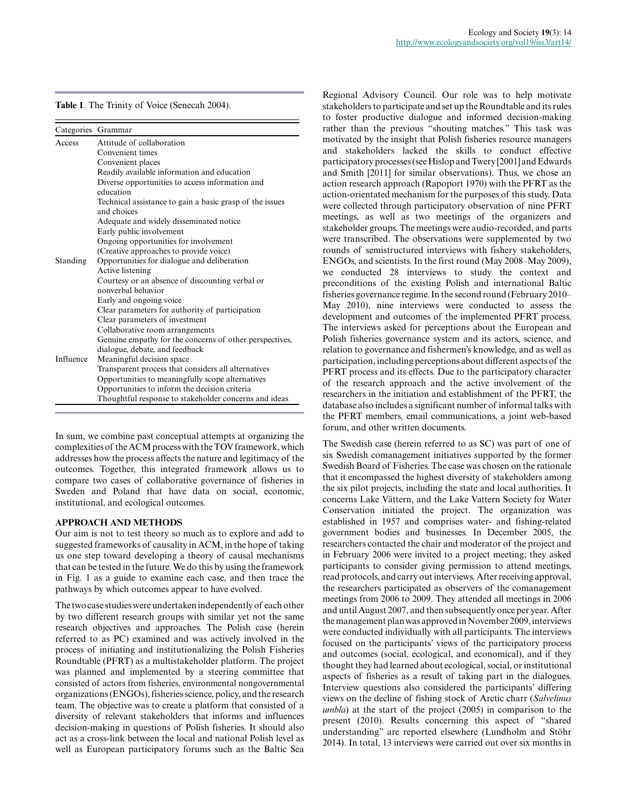**Table 1**. The Trinity of Voice (Senecah 2004).

| Categories Grammar |                                                                                           |
|--------------------|-------------------------------------------------------------------------------------------|
| Access             | Attitude of collaboration                                                                 |
|                    | Convenient times                                                                          |
|                    | Convenient places                                                                         |
|                    | Readily available information and education                                               |
|                    | Diverse opportunities to access information and                                           |
|                    | education                                                                                 |
|                    | Technical assistance to gain a basic grasp of the issues<br>and choices                   |
|                    |                                                                                           |
|                    | Adequate and widely disseminated notice<br>Early public involvement                       |
|                    | Ongoing opportunities for involvement                                                     |
|                    | (Creative approaches to provide voice)                                                    |
| <b>Standing</b>    | Opportunities for dialogue and deliberation                                               |
|                    | Active listening                                                                          |
|                    | Courtesy or an absence of discounting verbal or                                           |
|                    | nonverbal behavior                                                                        |
|                    |                                                                                           |
|                    | Early and ongoing voice                                                                   |
|                    | Clear parameters for authority of participation                                           |
|                    | Clear parameters of investment<br>Collaborative room arrangements                         |
|                    |                                                                                           |
|                    | Genuine empathy for the concerns of other perspectives,<br>dialogue, debate, and feedback |
| Influence          | Meaningful decision space                                                                 |
|                    |                                                                                           |
|                    | Transparent process that considers all alternatives                                       |
|                    | Opportunities to meaningfully scope alternatives                                          |
|                    | Opportunities to inform the decision criteria                                             |
|                    | Thoughtful response to stakeholder concerns and ideas                                     |

In sum, we combine past conceptual attempts at organizing the complexities of the ACM process with the TOV framework, which addresses how the process affects the nature and legitimacy of the outcomes. Together, this integrated framework allows us to compare two cases of collaborative governance of fisheries in Sweden and Poland that have data on social, economic, institutional, and ecological outcomes.

## **APPROACH AND METHODS**

Our aim is not to test theory so much as to explore and add to suggested frameworks of causality in ACM, in the hope of taking us one step toward developing a theory of causal mechanisms that can be tested in the future. We do this by using the framework in Fig. 1 as a guide to examine each case, and then trace the pathways by which outcomes appear to have evolved.

The two case studies were undertaken independently of each other by two different research groups with similar yet not the same research objectives and approaches. The Polish case (herein referred to as PC) examined and was actively involved in the process of initiating and institutionalizing the Polish Fisheries Roundtable (PFRT) as a multistakeholder platform. The project was planned and implemented by a steering committee that consisted of actors from fisheries, environmental nongovernmental organizations (ENGOs), fisheries science, policy, and the research team. The objective was to create a platform that consisted of a diversity of relevant stakeholders that informs and influences decision-making in questions of Polish fisheries. It should also act as a cross-link between the local and national Polish level as well as European participatory forums such as the Baltic Sea

Regional Advisory Council. Our role was to help motivate stakeholders to participate and set up the Roundtable and its rules to foster productive dialogue and informed decision-making rather than the previous "shouting matches." This task was motivated by the insight that Polish fisheries resource managers and stakeholders lacked the skills to conduct effective participatory processes (see Hislop and Twery [2001] and Edwards and Smith [2011] for similar observations). Thus, we chose an action research approach (Rapoport 1970) with the PFRT as the action-orientated mechanism for the purposes of this study. Data were collected through participatory observation of nine PFRT meetings, as well as two meetings of the organizers and stakeholder groups. The meetings were audio-recorded, and parts were transcribed. The observations were supplemented by two rounds of semistructured interviews with fishery stakeholders, ENGOs, and scientists. In the first round (May 2008–May 2009), we conducted 28 interviews to study the context and preconditions of the existing Polish and international Baltic fisheries governance regime. In the second round (February 2010– May 2010), nine interviews were conducted to assess the development and outcomes of the implemented PFRT process. The interviews asked for perceptions about the European and Polish fisheries governance system and its actors, science, and relation to governance and fishermen's knowledge, and as well as participation, including perceptions about different aspects of the PFRT process and its effects. Due to the participatory character of the research approach and the active involvement of the researchers in the initiation and establishment of the PFRT, the database also includes a significant number of informal talks with the PFRT members, email communications, a joint web-based forum, and other written documents.

The Swedish case (herein referred to as SC) was part of one of six Swedish comanagement initiatives supported by the former Swedish Board of Fisheries. The case was chosen on the rationale that it encompassed the highest diversity of stakeholders among the six pilot projects, including the state and local authorities. It concerns Lake Vättern, and the Lake Vattern Society for Water Conservation initiated the project. The organization was established in 1957 and comprises water- and fishing-related government bodies and businesses. In December 2005, the researchers contacted the chair and moderator of the project and in February 2006 were invited to a project meeting; they asked participants to consider giving permission to attend meetings, read protocols, and carry out interviews. After receiving approval, the researchers participated as observers of the comanagement meetings from 2006 to 2009. They attended all meetings in 2006 and until August 2007, and then subsequently once per year. After the management plan was approved in November 2009, interviews were conducted individually with all participants. The interviews focused on the participants' views of the participatory process and outcomes (social, ecological, and economical), and if they thought they had learned about ecological, social, or institutional aspects of fisheries as a result of taking part in the dialogues. Interview questions also considered the participants' differing views on the decline of fishing stock of Arctic charr (*Salvelinus umbla*) at the start of the project (2005) in comparison to the present (2010). Results concerning this aspect of "shared understanding" are reported elsewhere (Lundholm and Stöhr 2014). In total, 13 interviews were carried out over six months in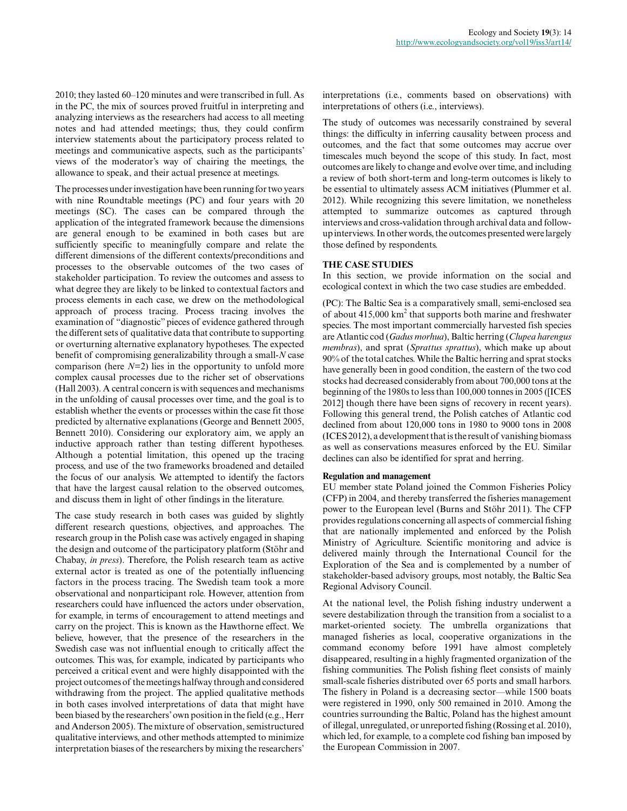2010; they lasted 60–120 minutes and were transcribed in full. As in the PC, the mix of sources proved fruitful in interpreting and analyzing interviews as the researchers had access to all meeting notes and had attended meetings; thus, they could confirm interview statements about the participatory process related to meetings and communicative aspects, such as the participants' views of the moderator's way of chairing the meetings, the allowance to speak, and their actual presence at meetings.

The processes under investigation have been running for two years with nine Roundtable meetings (PC) and four years with 20 meetings (SC). The cases can be compared through the application of the integrated framework because the dimensions are general enough to be examined in both cases but are sufficiently specific to meaningfully compare and relate the different dimensions of the different contexts/preconditions and processes to the observable outcomes of the two cases of stakeholder participation. To review the outcomes and assess to what degree they are likely to be linked to contextual factors and process elements in each case, we drew on the methodological approach of process tracing. Process tracing involves the examination of "diagnostic" pieces of evidence gathered through the different sets of qualitative data that contribute to supporting or overturning alternative explanatory hypotheses. The expected benefit of compromising generalizability through a small-*N* case comparison (here *N*=2) lies in the opportunity to unfold more complex causal processes due to the richer set of observations (Hall 2003). A central concern is with sequences and mechanisms in the unfolding of causal processes over time, and the goal is to establish whether the events or processes within the case fit those predicted by alternative explanations (George and Bennett 2005, Bennett 2010). Considering our exploratory aim, we apply an inductive approach rather than testing different hypotheses. Although a potential limitation, this opened up the tracing process, and use of the two frameworks broadened and detailed the focus of our analysis. We attempted to identify the factors that have the largest causal relation to the observed outcomes, and discuss them in light of other findings in the literature.

The case study research in both cases was guided by slightly different research questions, objectives, and approaches. The research group in the Polish case was actively engaged in shaping the design and outcome of the participatory platform (Stöhr and Chabay, *in press*). Therefore, the Polish research team as active external actor is treated as one of the potentially influencing factors in the process tracing. The Swedish team took a more observational and nonparticipant role. However, attention from researchers could have influenced the actors under observation, for example, in terms of encouragement to attend meetings and carry on the project. This is known as the Hawthorne effect. We believe, however, that the presence of the researchers in the Swedish case was not influential enough to critically affect the outcomes. This was, for example, indicated by participants who perceived a critical event and were highly disappointed with the project outcomes of the meetings halfway through and considered withdrawing from the project. The applied qualitative methods in both cases involved interpretations of data that might have been biased by the researchers' own position in the field (e.g., Herr and Anderson 2005). The mixture of observation, semistructured qualitative interviews, and other methods attempted to minimize interpretation biases of the researchers by mixing the researchers'

interpretations (i.e., comments based on observations) with interpretations of others (i.e., interviews).

The study of outcomes was necessarily constrained by several things: the difficulty in inferring causality between process and outcomes, and the fact that some outcomes may accrue over timescales much beyond the scope of this study. In fact, most outcomes are likely to change and evolve over time, and including a review of both short-term and long-term outcomes is likely to be essential to ultimately assess ACM initiatives (Plummer et al. 2012). While recognizing this severe limitation, we nonetheless attempted to summarize outcomes as captured through interviews and cross-validation through archival data and followup interviews. In other words, the outcomes presented were largely those defined by respondents.

## **THE CASE STUDIES**

In this section, we provide information on the social and ecological context in which the two case studies are embedded.

(PC): The Baltic Sea is a comparatively small, semi-enclosed sea of about  $415,000 \text{ km}^2$  that supports both marine and freshwater species. The most important commercially harvested fish species are Atlantic cod (*Gadus morhua*), Baltic herring (*Clupea harengus membras*), and sprat (*Sprattus sprattus*), which make up about 90% of the total catches. While the Baltic herring and sprat stocks have generally been in good condition, the eastern of the two cod stocks had decreased considerably from about 700,000 tons at the beginning of the 1980s to less than 100,000 tonnes in 2005 ([ICES 2012] though there have been signs of recovery in recent years). Following this general trend, the Polish catches of Atlantic cod declined from about 120,000 tons in 1980 to 9000 tons in 2008 (ICES 2012), a development that is the result of vanishing biomass as well as conservations measures enforced by the EU. Similar declines can also be identified for sprat and herring.

#### **Regulation and management**

EU member state Poland joined the Common Fisheries Policy (CFP) in 2004, and thereby transferred the fisheries management power to the European level (Burns and Stöhr 2011). The CFP provides regulations concerning all aspects of commercial fishing that are nationally implemented and enforced by the Polish Ministry of Agriculture. Scientific monitoring and advice is delivered mainly through the International Council for the Exploration of the Sea and is complemented by a number of stakeholder-based advisory groups, most notably, the Baltic Sea Regional Advisory Council.

At the national level, the Polish fishing industry underwent a severe destabilization through the transition from a socialist to a market-oriented society. The umbrella organizations that managed fisheries as local, cooperative organizations in the command economy before 1991 have almost completely disappeared, resulting in a highly fragmented organization of the fishing communities. The Polish fishing fleet consists of mainly small-scale fisheries distributed over 65 ports and small harbors. The fishery in Poland is a decreasing sector—while 1500 boats were registered in 1990, only 500 remained in 2010. Among the countries surrounding the Baltic, Poland has the highest amount of illegal, unregulated, or unreported fishing (Rossing et al. 2010), which led, for example, to a complete cod fishing ban imposed by the European Commission in 2007.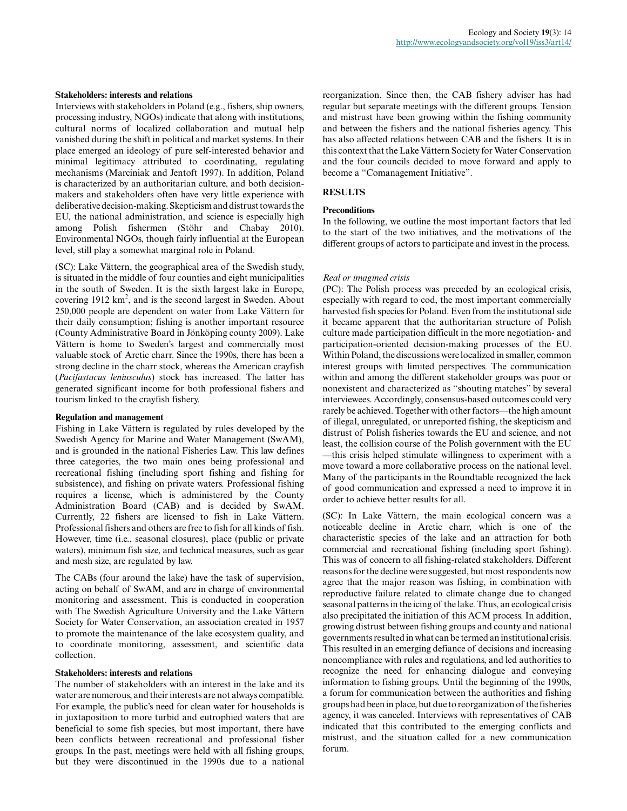# **Stakeholders: interests and relations**

Interviews with stakeholders in Poland (e.g., fishers, ship owners, processing industry, NGOs) indicate that along with institutions, cultural norms of localized collaboration and mutual help vanished during the shift in political and market systems. In their place emerged an ideology of pure self-interested behavior and minimal legitimacy attributed to coordinating, regulating mechanisms (Marciniak and Jentoft 1997). In addition, Poland is characterized by an authoritarian culture, and both decisionmakers and stakeholders often have very little experience with deliberative decision-making. Skepticism and distrust towards the EU, the national administration, and science is especially high among Polish fishermen (Stöhr and Chabay 2010). Environmental NGOs, though fairly influential at the European level, still play a somewhat marginal role in Poland.

(SC): Lake Vättern, the geographical area of the Swedish study, is situated in the middle of four counties and eight municipalities in the south of Sweden. It is the sixth largest lake in Europe, covering  $1912 \text{ km}^2$ , and is the second largest in Sweden. About 250,000 people are dependent on water from Lake Vättern for their daily consumption; fishing is another important resource (County Administrative Board in Jönköping county 2009). Lake Vättern is home to Sweden's largest and commercially most valuable stock of Arctic charr. Since the 1990s, there has been a strong decline in the charr stock, whereas the American crayfish (*Pacifastacus leniusculus*) stock has increased. The latter has generated significant income for both professional fishers and tourism linked to the crayfish fishery.

# **Regulation and management**

Fishing in Lake Vättern is regulated by rules developed by the Swedish Agency for Marine and Water Management (SwAM), and is grounded in the national Fisheries Law. This law defines three categories, the two main ones being professional and recreational fishing (including sport fishing and fishing for subsistence), and fishing on private waters. Professional fishing requires a license, which is administered by the County Administration Board (CAB) and is decided by SwAM. Currently, 22 fishers are licensed to fish in Lake Vättern. Professional fishers and others are free to fish for all kinds of fish. However, time (i.e., seasonal closures), place (public or private waters), minimum fish size, and technical measures, such as gear and mesh size, are regulated by law.

The CABs (four around the lake) have the task of supervision, acting on behalf of SwAM, and are in charge of environmental monitoring and assessment. This is conducted in cooperation with The Swedish Agriculture University and the Lake Vättern Society for Water Conservation, an association created in 1957 to promote the maintenance of the lake ecosystem quality, and to coordinate monitoring, assessment, and scientific data collection.

## **Stakeholders: interests and relations**

The number of stakeholders with an interest in the lake and its water are numerous, and their interests are not always compatible. For example, the public's need for clean water for households is in juxtaposition to more turbid and eutrophied waters that are beneficial to some fish species, but most important, there have been conflicts between recreational and professional fisher groups. In the past, meetings were held with all fishing groups, but they were discontinued in the 1990s due to a national reorganization. Since then, the CAB fishery adviser has had regular but separate meetings with the different groups. Tension and mistrust have been growing within the fishing community and between the fishers and the national fisheries agency. This has also affected relations between CAB and the fishers. It is in this context that the Lake Vättern Society for Water Conservation and the four councils decided to move forward and apply to become a "Comanagement Initiative".

#### **RESULTS**

#### **Preconditions**

In the following, we outline the most important factors that led to the start of the two initiatives, and the motivations of the different groups of actors to participate and invest in the process.

#### *Real or imagined crisis*

(PC): The Polish process was preceded by an ecological crisis, especially with regard to cod, the most important commercially harvested fish species for Poland. Even from the institutional side it became apparent that the authoritarian structure of Polish culture made participation difficult in the more negotiation- and participation-oriented decision-making processes of the EU. Within Poland, the discussions were localized in smaller, common interest groups with limited perspectives. The communication within and among the different stakeholder groups was poor or nonexistent and characterized as "shouting matches" by several interviewees. Accordingly, consensus-based outcomes could very rarely be achieved. Together with other factors—the high amount of illegal, unregulated, or unreported fishing, the skepticism and distrust of Polish fisheries towards the EU and science, and not least, the collision course of the Polish government with the EU —this crisis helped stimulate willingness to experiment with a move toward a more collaborative process on the national level. Many of the participants in the Roundtable recognized the lack of good communication and expressed a need to improve it in order to achieve better results for all.

(SC): In Lake Vättern, the main ecological concern was a noticeable decline in Arctic charr, which is one of the characteristic species of the lake and an attraction for both commercial and recreational fishing (including sport fishing). This was of concern to all fishing-related stakeholders. Different reasons for the decline were suggested, but most respondents now agree that the major reason was fishing, in combination with reproductive failure related to climate change due to changed seasonal patterns in the icing of the lake. Thus, an ecological crisis also precipitated the initiation of this ACM process. In addition, growing distrust between fishing groups and county and national governments resulted in what can be termed an institutional crisis. This resulted in an emerging defiance of decisions and increasing noncompliance with rules and regulations, and led authorities to recognize the need for enhancing dialogue and conveying information to fishing groups. Until the beginning of the 1990s, a forum for communication between the authorities and fishing groups had been in place, but due to reorganization of the fisheries agency, it was canceled. Interviews with representatives of CAB indicated that this contributed to the emerging conflicts and mistrust, and the situation called for a new communication forum.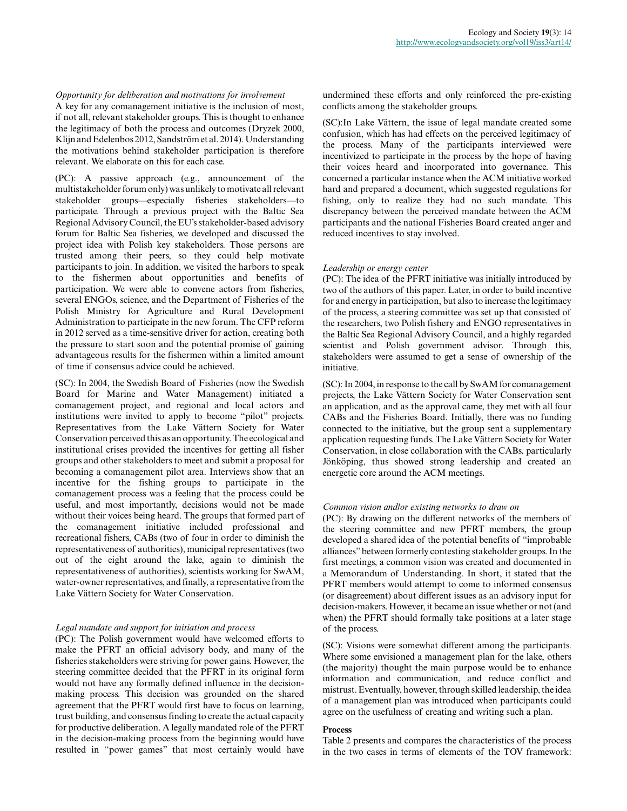# *Opportunity for deliberation and motivations for involvement*

A key for any comanagement initiative is the inclusion of most, if not all, relevant stakeholder groups. This is thought to enhance the legitimacy of both the process and outcomes (Dryzek 2000, Klijn and Edelenbos 2012, Sandström et al. 2014). Understanding the motivations behind stakeholder participation is therefore relevant. We elaborate on this for each case.

(PC): A passive approach (e.g., announcement of the multistakeholder forum only) was unlikely to motivate all relevant stakeholder groups—especially fisheries stakeholders—to participate. Through a previous project with the Baltic Sea Regional Advisory Council, the EU's stakeholder-based advisory forum for Baltic Sea fisheries, we developed and discussed the project idea with Polish key stakeholders. Those persons are trusted among their peers, so they could help motivate participants to join. In addition, we visited the harbors to speak to the fishermen about opportunities and benefits of participation. We were able to convene actors from fisheries, several ENGOs, science, and the Department of Fisheries of the Polish Ministry for Agriculture and Rural Development Administration to participate in the new forum. The CFP reform in 2012 served as a time-sensitive driver for action, creating both the pressure to start soon and the potential promise of gaining advantageous results for the fishermen within a limited amount of time if consensus advice could be achieved.

(SC): In 2004, the Swedish Board of Fisheries (now the Swedish Board for Marine and Water Management) initiated a comanagement project, and regional and local actors and institutions were invited to apply to become "pilot" projects. Representatives from the Lake Vättern Society for Water Conservation perceived this as an opportunity. The ecological and institutional crises provided the incentives for getting all fisher groups and other stakeholders to meet and submit a proposal for becoming a comanagement pilot area. Interviews show that an incentive for the fishing groups to participate in the comanagement process was a feeling that the process could be useful, and most importantly, decisions would not be made without their voices being heard. The groups that formed part of the comanagement initiative included professional and recreational fishers, CABs (two of four in order to diminish the representativeness of authorities), municipal representatives (two out of the eight around the lake, again to diminish the representativeness of authorities), scientists working for SwAM, water-owner representatives, and finally, a representative from the Lake Vättern Society for Water Conservation.

#### *Legal mandate and support for initiation and process*

(PC): The Polish government would have welcomed efforts to make the PFRT an official advisory body, and many of the fisheries stakeholders were striving for power gains. However, the steering committee decided that the PFRT in its original form would not have any formally defined influence in the decisionmaking process. This decision was grounded on the shared agreement that the PFRT would first have to focus on learning, trust building, and consensus finding to create the actual capacity for productive deliberation. A legally mandated role of the PFRT in the decision-making process from the beginning would have resulted in "power games" that most certainly would have

undermined these efforts and only reinforced the pre-existing conflicts among the stakeholder groups.

(SC):In Lake Vättern, the issue of legal mandate created some confusion, which has had effects on the perceived legitimacy of the process. Many of the participants interviewed were incentivized to participate in the process by the hope of having their voices heard and incorporated into governance. This concerned a particular instance when the ACM initiative worked hard and prepared a document, which suggested regulations for fishing, only to realize they had no such mandate. This discrepancy between the perceived mandate between the ACM participants and the national Fisheries Board created anger and reduced incentives to stay involved.

#### *Leadership or energy center*

(PC): The idea of the PFRT initiative was initially introduced by two of the authors of this paper. Later, in order to build incentive for and energy in participation, but also to increase the legitimacy of the process, a steering committee was set up that consisted of the researchers, two Polish fishery and ENGO representatives in the Baltic Sea Regional Advisory Council, and a highly regarded scientist and Polish government advisor. Through this, stakeholders were assumed to get a sense of ownership of the initiative.

(SC): In 2004, in response to the call by SwAM for comanagement projects, the Lake Vättern Society for Water Conservation sent an application, and as the approval came, they met with all four CABs and the Fisheries Board. Initially, there was no funding connected to the initiative, but the group sent a supplementary application requesting funds. The Lake Vättern Society for Water Conservation, in close collaboration with the CABs, particularly Jönköping, thus showed strong leadership and created an energetic core around the ACM meetings.

#### *Common vision and/or existing networks to draw on*

(PC): By drawing on the different networks of the members of the steering committee and new PFRT members, the group developed a shared idea of the potential benefits of "improbable alliances" between formerly contesting stakeholder groups. In the first meetings, a common vision was created and documented in a Memorandum of Understanding. In short, it stated that the PFRT members would attempt to come to informed consensus (or disagreement) about different issues as an advisory input for decision-makers. However, it became an issue whether or not (and when) the PFRT should formally take positions at a later stage of the process.

(SC): Visions were somewhat different among the participants. Where some envisioned a management plan for the lake, others (the majority) thought the main purpose would be to enhance information and communication, and reduce conflict and mistrust. Eventually, however, through skilled leadership, the idea of a management plan was introduced when participants could agree on the usefulness of creating and writing such a plan.

#### **Process**

Table 2 presents and compares the characteristics of the process in the two cases in terms of elements of the TOV framework: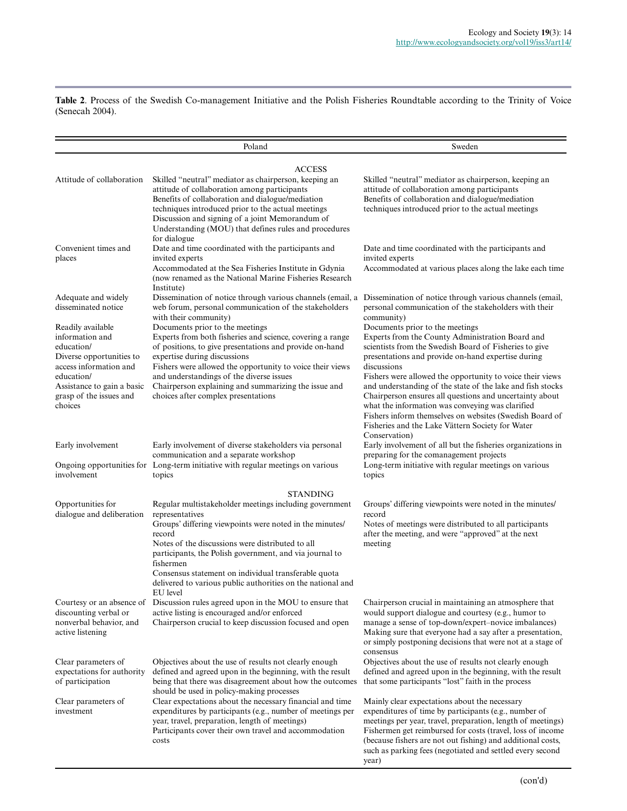**Table 2**. Process of the Swedish Co-management Initiative and the Polish Fisheries Roundtable according to the Trinity of Voice (Senecah 2004).

|                                                                                                                                                                                            | Poland                                                                                                                                                                                                                                                                                                                                                                                                        | Sweden                                                                                                                                                                                                                                                                                                                                                                                                                                                                                                                                                                                       |
|--------------------------------------------------------------------------------------------------------------------------------------------------------------------------------------------|---------------------------------------------------------------------------------------------------------------------------------------------------------------------------------------------------------------------------------------------------------------------------------------------------------------------------------------------------------------------------------------------------------------|----------------------------------------------------------------------------------------------------------------------------------------------------------------------------------------------------------------------------------------------------------------------------------------------------------------------------------------------------------------------------------------------------------------------------------------------------------------------------------------------------------------------------------------------------------------------------------------------|
|                                                                                                                                                                                            | <b>ACCESS</b>                                                                                                                                                                                                                                                                                                                                                                                                 |                                                                                                                                                                                                                                                                                                                                                                                                                                                                                                                                                                                              |
| Attitude of collaboration                                                                                                                                                                  | Skilled "neutral" mediator as chairperson, keeping an<br>attitude of collaboration among participants<br>Benefits of collaboration and dialogue/mediation<br>techniques introduced prior to the actual meetings<br>Discussion and signing of a joint Memorandum of<br>Understanding (MOU) that defines rules and procedures<br>for dialogue                                                                   | Skilled "neutral" mediator as chairperson, keeping an<br>attitude of collaboration among participants<br>Benefits of collaboration and dialogue/mediation<br>techniques introduced prior to the actual meetings                                                                                                                                                                                                                                                                                                                                                                              |
| Convenient times and<br>places                                                                                                                                                             | Date and time coordinated with the participants and<br>invited experts<br>Accommodated at the Sea Fisheries Institute in Gdynia<br>(now renamed as the National Marine Fisheries Research<br>Institute)                                                                                                                                                                                                       | Date and time coordinated with the participants and<br>invited experts<br>Accommodated at various places along the lake each time                                                                                                                                                                                                                                                                                                                                                                                                                                                            |
| Adequate and widely<br>disseminated notice                                                                                                                                                 | Dissemination of notice through various channels (email, a<br>web forum, personal communication of the stakeholders<br>with their community)                                                                                                                                                                                                                                                                  | Dissemination of notice through various channels (email,<br>personal communication of the stakeholders with their<br>community)                                                                                                                                                                                                                                                                                                                                                                                                                                                              |
| Readily available<br>information and<br>education/<br>Diverse opportunities to<br>access information and<br>education/<br>Assistance to gain a basic<br>grasp of the issues and<br>choices | Documents prior to the meetings<br>Experts from both fisheries and science, covering a range<br>of positions, to give presentations and provide on-hand<br>expertise during discussions<br>Fishers were allowed the opportunity to voice their views<br>and understandings of the diverse issues<br>Chairperson explaining and summarizing the issue and<br>choices after complex presentations               | Documents prior to the meetings<br>Experts from the County Administration Board and<br>scientists from the Swedish Board of Fisheries to give<br>presentations and provide on-hand expertise during<br>discussions<br>Fishers were allowed the opportunity to voice their views<br>and understanding of the state of the lake and fish stocks<br>Chairperson ensures all questions and uncertainty about<br>what the information was conveying was clarified<br>Fishers inform themselves on websites (Swedish Board of<br>Fisheries and the Lake Vättern Society for Water<br>Conservation) |
| Early involvement<br>involvement                                                                                                                                                           | Early involvement of diverse stakeholders via personal<br>communication and a separate workshop<br>Ongoing opportunities for Long-term initiative with regular meetings on various<br>topics                                                                                                                                                                                                                  | Early involvement of all but the fisheries organizations in<br>preparing for the comanagement projects<br>Long-term initiative with regular meetings on various<br>topics                                                                                                                                                                                                                                                                                                                                                                                                                    |
|                                                                                                                                                                                            | <b>STANDING</b>                                                                                                                                                                                                                                                                                                                                                                                               |                                                                                                                                                                                                                                                                                                                                                                                                                                                                                                                                                                                              |
| Opportunities for<br>dialogue and deliberation                                                                                                                                             | Regular multistakeholder meetings including government<br>representatives<br>Groups' differing viewpoints were noted in the minutes/<br>record<br>Notes of the discussions were distributed to all<br>participants, the Polish government, and via journal to<br>fishermen<br>Consensus statement on individual transferable quota<br>delivered to various public authorities on the national and<br>EU level | Groups' differing viewpoints were noted in the minutes/<br>record<br>Notes of meetings were distributed to all participants<br>after the meeting, and were "approved" at the next<br>meeting                                                                                                                                                                                                                                                                                                                                                                                                 |
| discounting verbal or<br>nonverbal behavior, and<br>active listening                                                                                                                       | Courtesy or an absence of Discussion rules agreed upon in the MOU to ensure that<br>active listing is encouraged and/or enforced<br>Chairperson crucial to keep discussion focused and open                                                                                                                                                                                                                   | Chairperson crucial in maintaining an atmosphere that<br>would support dialogue and courtesy (e.g., humor to<br>manage a sense of top-down/expert-novice imbalances)<br>Making sure that everyone had a say after a presentation,<br>or simply postponing decisions that were not at a stage of<br>consensus                                                                                                                                                                                                                                                                                 |
| Clear parameters of<br>expectations for authority<br>of participation                                                                                                                      | Objectives about the use of results not clearly enough<br>defined and agreed upon in the beginning, with the result<br>being that there was disagreement about how the outcomes                                                                                                                                                                                                                               | Objectives about the use of results not clearly enough<br>defined and agreed upon in the beginning, with the result<br>that some participants "lost" faith in the process                                                                                                                                                                                                                                                                                                                                                                                                                    |
| Clear parameters of<br>investment                                                                                                                                                          | should be used in policy-making processes<br>Clear expectations about the necessary financial and time<br>expenditures by participants (e.g., number of meetings per<br>year, travel, preparation, length of meetings)<br>Participants cover their own travel and accommodation<br>costs                                                                                                                      | Mainly clear expectations about the necessary<br>expenditures of time by participants (e.g., number of<br>meetings per year, travel, preparation, length of meetings)<br>Fishermen get reimbursed for costs (travel, loss of income<br>(because fishers are not out fishing) and additional costs,<br>such as parking fees (negotiated and settled every second<br>year)                                                                                                                                                                                                                     |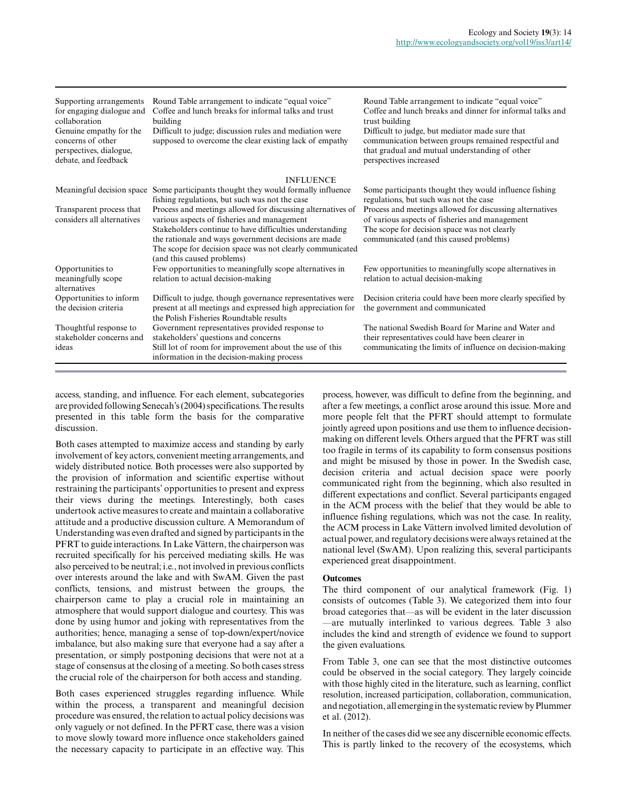| Supporting arrangements<br>for engaging dialogue and<br>collaboration<br>Genuine empathy for the | Round Table arrangement to indicate "equal voice"<br>Coffee and lunch breaks for informal talks and trust<br>building<br>Difficult to judge; discussion rules and mediation were                            | Round Table arrangement to indicate "equal voice"<br>Coffee and lunch breaks and dinner for informal talks and<br>trust building<br>Difficult to judge, but mediator made sure that |
|--------------------------------------------------------------------------------------------------|-------------------------------------------------------------------------------------------------------------------------------------------------------------------------------------------------------------|-------------------------------------------------------------------------------------------------------------------------------------------------------------------------------------|
| concerns of other<br>perspectives, dialogue,<br>debate, and feedback                             | supposed to overcome the clear existing lack of empathy                                                                                                                                                     | communication between groups remained respectful and<br>that gradual and mutual understanding of other<br>perspectives increased                                                    |
|                                                                                                  | <b>INFLUENCE</b>                                                                                                                                                                                            |                                                                                                                                                                                     |
|                                                                                                  | Meaningful decision space Some participants thought they would formally influence<br>fishing regulations, but such was not the case                                                                         | Some participants thought they would influence fishing<br>regulations, but such was not the case                                                                                    |
| Transparent process that<br>considers all alternatives                                           | Process and meetings allowed for discussing alternatives of<br>various aspects of fisheries and management                                                                                                  | Process and meetings allowed for discussing alternatives<br>of various aspects of fisheries and management                                                                          |
|                                                                                                  | Stakeholders continue to have difficulties understanding<br>the rationale and ways government decisions are made<br>The scope for decision space was not clearly communicated<br>(and this caused problems) | The scope for decision space was not clearly<br>communicated (and this caused problems)                                                                                             |
| Opportunities to<br>meaningfully scope<br>alternatives                                           | Few opportunities to meaningfully scope alternatives in<br>relation to actual decision-making                                                                                                               | Few opportunities to meaningfully scope alternatives in<br>relation to actual decision-making                                                                                       |
| Opportunities to inform<br>the decision criteria                                                 | Difficult to judge, though governance representatives were<br>present at all meetings and expressed high appreciation for<br>the Polish Fisheries Roundtable results                                        | Decision criteria could have been more clearly specified by<br>the government and communicated                                                                                      |
| Thoughtful response to<br>stakeholder concerns and<br>ideas                                      | Government representatives provided response to<br>stakeholders' questions and concerns<br>Still lot of room for improvement about the use of this<br>information in the decision-making process            | The national Swedish Board for Marine and Water and<br>their representatives could have been clearer in<br>communicating the limits of influence on decision-making                 |

access, standing, and influence. For each element, subcategories are provided following Senecah's (2004) specifications. The results presented in this table form the basis for the comparative discussion.

Both cases attempted to maximize access and standing by early involvement of key actors, convenient meeting arrangements, and widely distributed notice. Both processes were also supported by the provision of information and scientific expertise without restraining the participants' opportunities to present and express their views during the meetings. Interestingly, both cases undertook active measures to create and maintain a collaborative attitude and a productive discussion culture. A Memorandum of Understanding was even drafted and signed by participants in the PFRT to guide interactions. In Lake Vättern, the chairperson was recruited specifically for his perceived mediating skills. He was also perceived to be neutral; i.e., not involved in previous conflicts over interests around the lake and with SwAM. Given the past conflicts, tensions, and mistrust between the groups, the chairperson came to play a crucial role in maintaining an atmosphere that would support dialogue and courtesy. This was done by using humor and joking with representatives from the authorities; hence, managing a sense of top-down/expert/novice imbalance, but also making sure that everyone had a say after a presentation, or simply postponing decisions that were not at a stage of consensus at the closing of a meeting. So both cases stress the crucial role of the chairperson for both access and standing.

Both cases experienced struggles regarding influence. While within the process, a transparent and meaningful decision procedure was ensured, the relation to actual policy decisions was only vaguely or not defined. In the PFRT case, there was a vision to move slowly toward more influence once stakeholders gained the necessary capacity to participate in an effective way. This

process, however, was difficult to define from the beginning, and after a few meetings, a conflict arose around this issue. More and more people felt that the PFRT should attempt to formulate jointly agreed upon positions and use them to influence decisionmaking on different levels. Others argued that the PFRT was still too fragile in terms of its capability to form consensus positions and might be misused by those in power. In the Swedish case, decision criteria and actual decision space were poorly communicated right from the beginning, which also resulted in different expectations and conflict. Several participants engaged in the ACM process with the belief that they would be able to influence fishing regulations, which was not the case. In reality, the ACM process in Lake Vättern involved limited devolution of actual power, and regulatory decisions were always retained at the national level (SwAM). Upon realizing this, several participants experienced great disappointment.

## **Outcomes**

The third component of our analytical framework (Fig. 1) consists of outcomes (Table 3). We categorized them into four broad categories that—as will be evident in the later discussion —are mutually interlinked to various degrees. Table 3 also includes the kind and strength of evidence we found to support the given evaluations.

From Table 3, one can see that the most distinctive outcomes could be observed in the social category. They largely coincide with those highly cited in the literature, such as learning, conflict resolution, increased participation, collaboration, communication, and negotiation, all emerging in the systematic review by Plummer et al. (2012).

In neither of the cases did we see any discernible economic effects. This is partly linked to the recovery of the ecosystems, which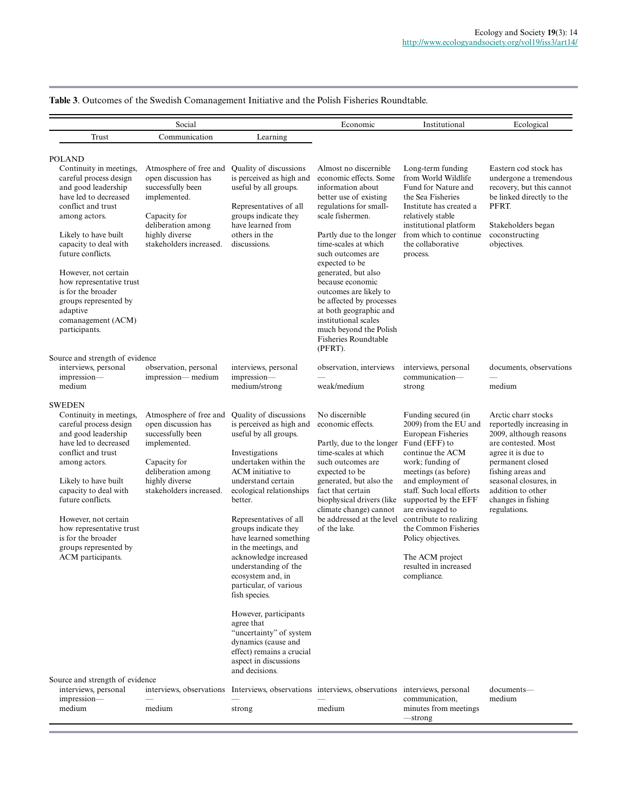# **Table 3**. Outcomes of the Swedish Comanagement Initiative and the Polish Fisheries Roundtable.

|                                                                                                                                                                                                                                                                                                                                                  | Social                                                                                                                                                                |                                                                                                                                                                                                                                                                                                                                                                                                                                                        | Economic                                                                                                                                                                                                                                                                                                       | Institutional                                                                                                                                                                                                                                                                                                                                                                         | Ecological                                                                                                                                                                                                                                          |
|--------------------------------------------------------------------------------------------------------------------------------------------------------------------------------------------------------------------------------------------------------------------------------------------------------------------------------------------------|-----------------------------------------------------------------------------------------------------------------------------------------------------------------------|--------------------------------------------------------------------------------------------------------------------------------------------------------------------------------------------------------------------------------------------------------------------------------------------------------------------------------------------------------------------------------------------------------------------------------------------------------|----------------------------------------------------------------------------------------------------------------------------------------------------------------------------------------------------------------------------------------------------------------------------------------------------------------|---------------------------------------------------------------------------------------------------------------------------------------------------------------------------------------------------------------------------------------------------------------------------------------------------------------------------------------------------------------------------------------|-----------------------------------------------------------------------------------------------------------------------------------------------------------------------------------------------------------------------------------------------------|
| Trust                                                                                                                                                                                                                                                                                                                                            | Communication                                                                                                                                                         | Learning                                                                                                                                                                                                                                                                                                                                                                                                                                               |                                                                                                                                                                                                                                                                                                                |                                                                                                                                                                                                                                                                                                                                                                                       |                                                                                                                                                                                                                                                     |
| POLAND<br>Continuity in meetings,<br>careful process design<br>and good leadership<br>have led to decreased<br>conflict and trust<br>among actors.                                                                                                                                                                                               | Atmosphere of free and<br>open discussion has<br>successfully been<br>implemented.<br>Capacity for<br>deliberation among                                              | Quality of discussions<br>is perceived as high and<br>useful by all groups.<br>Representatives of all<br>groups indicate they<br>have learned from                                                                                                                                                                                                                                                                                                     | Almost no discernible<br>economic effects. Some<br>information about<br>better use of existing<br>regulations for small-<br>scale fishermen.                                                                                                                                                                   | Long-term funding<br>from World Wildlife<br>Fund for Nature and<br>the Sea Fisheries<br>Institute has created a<br>relatively stable<br>institutional platform                                                                                                                                                                                                                        | Eastern cod stock has<br>undergone a tremendous<br>recovery, but this cannot<br>be linked directly to the<br>PFRT.<br>Stakeholders began                                                                                                            |
| Likely to have built<br>capacity to deal with<br>future conflicts.<br>However, not certain<br>how representative trust<br>is for the broader<br>groups represented by<br>adaptive<br>comanagement (ACM)<br>participants.<br>Source and strength of evidence                                                                                      | highly diverse<br>others in the<br>stakeholders increased.<br>discussions.                                                                                            |                                                                                                                                                                                                                                                                                                                                                                                                                                                        | Partly due to the longer<br>time-scales at which<br>such outcomes are<br>expected to be<br>generated, but also<br>because economic<br>outcomes are likely to<br>be affected by processes<br>at both geographic and<br>institutional scales<br>much beyond the Polish<br><b>Fisheries Roundtable</b><br>(PFRT). | from which to continue<br>the collaborative<br>process.                                                                                                                                                                                                                                                                                                                               | coconstructing<br>objectives.                                                                                                                                                                                                                       |
| interviews, personal                                                                                                                                                                                                                                                                                                                             | observation, personal                                                                                                                                                 | interviews, personal                                                                                                                                                                                                                                                                                                                                                                                                                                   | observation, interviews                                                                                                                                                                                                                                                                                        | interviews, personal                                                                                                                                                                                                                                                                                                                                                                  | documents, observations                                                                                                                                                                                                                             |
| impression-<br>medium                                                                                                                                                                                                                                                                                                                            | impression— medium                                                                                                                                                    | impression-<br>medium/strong                                                                                                                                                                                                                                                                                                                                                                                                                           | weak/medium                                                                                                                                                                                                                                                                                                    | communication-<br>strong                                                                                                                                                                                                                                                                                                                                                              | medium                                                                                                                                                                                                                                              |
| SWEDEN<br>Continuity in meetings,<br>careful process design<br>and good leadership<br>have led to decreased<br>conflict and trust<br>among actors.<br>Likely to have built<br>capacity to deal with<br>future conflicts.<br>However, not certain<br>how representative trust<br>is for the broader<br>groups represented by<br>ACM participants. | Atmosphere of free and<br>open discussion has<br>successfully been<br>implemented.<br>Capacity for<br>deliberation among<br>highly diverse<br>stakeholders increased. | Quality of discussions<br>is perceived as high and<br>useful by all groups.<br>Investigations<br>undertaken within the<br>ACM initiative to<br>understand certain<br>ecological relationships<br>better.<br>Representatives of all<br>groups indicate they<br>have learned something<br>in the meetings, and<br>acknowledge increased<br>understanding of the<br>ecosystem and, in<br>particular, of various<br>fish species.<br>However, participants | No discernible<br>economic effects.<br>Partly, due to the longer<br>time-scales at which<br>such outcomes are<br>expected to be<br>generated, but also the<br>fact that certain<br>biophysical drivers (like<br>climate change) cannot<br>be addressed at the level<br>of the lake.                            | Funding secured (in<br>2009) from the EU and<br>European Fisheries<br>Fund (EFF) to<br>continue the ACM<br>work; funding of<br>meetings (as before)<br>and employment of<br>staff. Such local efforts<br>supported by the EFF<br>are envisaged to<br>contribute to realizing<br>the Common Fisheries<br>Policy objectives.<br>The ACM project<br>resulted in increased<br>compliance. | Arctic charr stocks<br>reportedly increasing in<br>2009, although reasons<br>are contested. Most<br>agree it is due to<br>permanent closed<br>fishing areas and<br>seasonal closures, in<br>addition to other<br>changes in fishing<br>regulations. |
| Source and strength of evidence                                                                                                                                                                                                                                                                                                                  |                                                                                                                                                                       | agree that<br>"uncertainty" of system<br>dynamics (cause and<br>effect) remains a crucial<br>aspect in discussions<br>and decisions.                                                                                                                                                                                                                                                                                                                   |                                                                                                                                                                                                                                                                                                                |                                                                                                                                                                                                                                                                                                                                                                                       |                                                                                                                                                                                                                                                     |
| interviews, personal<br>impression-                                                                                                                                                                                                                                                                                                              | interviews, observations                                                                                                                                              |                                                                                                                                                                                                                                                                                                                                                                                                                                                        | Interviews, observations interviews, observations interviews, personal                                                                                                                                                                                                                                         | communication,                                                                                                                                                                                                                                                                                                                                                                        | documents-<br>medium                                                                                                                                                                                                                                |
| medium                                                                                                                                                                                                                                                                                                                                           | medium                                                                                                                                                                | strong                                                                                                                                                                                                                                                                                                                                                                                                                                                 | medium                                                                                                                                                                                                                                                                                                         | minutes from meetings<br>—strong                                                                                                                                                                                                                                                                                                                                                      |                                                                                                                                                                                                                                                     |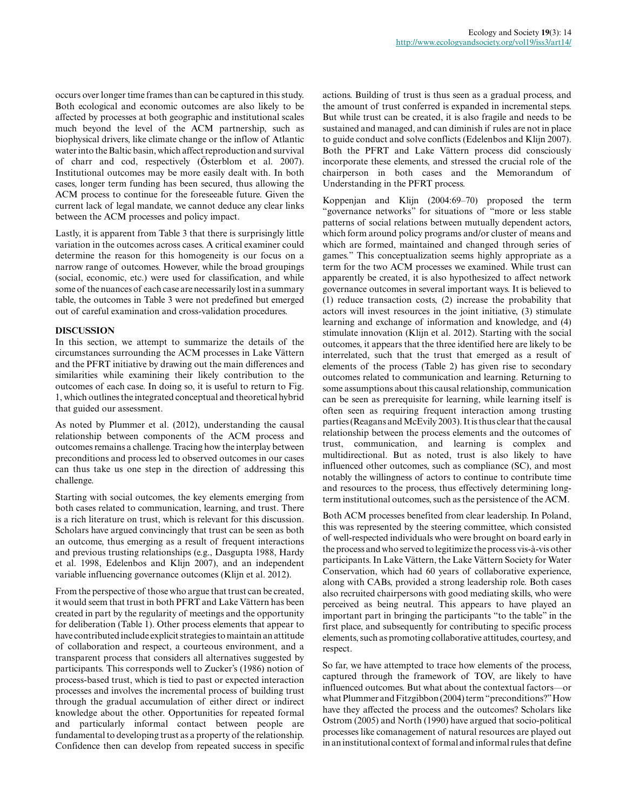occurs over longer time frames than can be captured in this study. Both ecological and economic outcomes are also likely to be affected by processes at both geographic and institutional scales much beyond the level of the ACM partnership, such as biophysical drivers, like climate change or the inflow of Atlantic water into the Baltic basin, which affect reproduction and survival of charr and cod, respectively (Österblom et al. 2007). Institutional outcomes may be more easily dealt with. In both cases, longer term funding has been secured, thus allowing the ACM process to continue for the foreseeable future. Given the current lack of legal mandate, we cannot deduce any clear links between the ACM processes and policy impact.

Lastly, it is apparent from Table 3 that there is surprisingly little variation in the outcomes across cases. A critical examiner could determine the reason for this homogeneity is our focus on a narrow range of outcomes. However, while the broad groupings (social, economic, etc.) were used for classification, and while some of the nuances of each case are necessarily lost in a summary table, the outcomes in Table 3 were not predefined but emerged out of careful examination and cross-validation procedures.

# **DISCUSSION**

In this section, we attempt to summarize the details of the circumstances surrounding the ACM processes in Lake Vättern and the PFRT initiative by drawing out the main differences and similarities while examining their likely contribution to the outcomes of each case. In doing so, it is useful to return to Fig. 1, which outlines the integrated conceptual and theoretical hybrid that guided our assessment.

As noted by Plummer et al. (2012), understanding the causal relationship between components of the ACM process and outcomes remains a challenge. Tracing how the interplay between preconditions and process led to observed outcomes in our cases can thus take us one step in the direction of addressing this challenge.

Starting with social outcomes, the key elements emerging from both cases related to communication, learning, and trust. There is a rich literature on trust, which is relevant for this discussion. Scholars have argued convincingly that trust can be seen as both an outcome, thus emerging as a result of frequent interactions and previous trusting relationships (e.g., Dasgupta 1988, Hardy et al. 1998, Edelenbos and Klijn 2007), and an independent variable influencing governance outcomes (Klijn et al. 2012).

From the perspective of those who argue that trust can be created, it would seem that trust in both PFRT and Lake Vättern has been created in part by the regularity of meetings and the opportunity for deliberation (Table 1). Other process elements that appear to have contributed include explicit strategies to maintain an attitude of collaboration and respect, a courteous environment, and a transparent process that considers all alternatives suggested by participants. This corresponds well to Zucker's (1986) notion of process-based trust, which is tied to past or expected interaction processes and involves the incremental process of building trust through the gradual accumulation of either direct or indirect knowledge about the other. Opportunities for repeated formal and particularly informal contact between people are fundamental to developing trust as a property of the relationship. Confidence then can develop from repeated success in specific actions. Building of trust is thus seen as a gradual process, and the amount of trust conferred is expanded in incremental steps. But while trust can be created, it is also fragile and needs to be sustained and managed, and can diminish if rules are not in place to guide conduct and solve conflicts (Edelenbos and Klijn 2007). Both the PFRT and Lake Vättern process did consciously incorporate these elements, and stressed the crucial role of the chairperson in both cases and the Memorandum of Understanding in the PFRT process.

Koppenjan and Klijn (2004:69–70) proposed the term "governance networks" for situations of "more or less stable patterns of social relations between mutually dependent actors, which form around policy programs and/or cluster of means and which are formed, maintained and changed through series of games." This conceptualization seems highly appropriate as a term for the two ACM processes we examined. While trust can apparently be created, it is also hypothesized to affect network governance outcomes in several important ways. It is believed to (1) reduce transaction costs, (2) increase the probability that actors will invest resources in the joint initiative, (3) stimulate learning and exchange of information and knowledge, and (4) stimulate innovation (Klijn et al. 2012). Starting with the social outcomes, it appears that the three identified here are likely to be interrelated, such that the trust that emerged as a result of elements of the process (Table 2) has given rise to secondary outcomes related to communication and learning. Returning to some assumptions about this causal relationship, communication can be seen as prerequisite for learning, while learning itself is often seen as requiring frequent interaction among trusting parties (Reagans and McEvily 2003). It is thus clear that the causal relationship between the process elements and the outcomes of trust, communication, and learning is complex and multidirectional. But as noted, trust is also likely to have influenced other outcomes, such as compliance (SC), and most notably the willingness of actors to continue to contribute time and resources to the process, thus effectively determining longterm institutional outcomes, such as the persistence of the ACM.

Both ACM processes benefited from clear leadership. In Poland, this was represented by the steering committee, which consisted of well-respected individuals who were brought on board early in the process and who served to legitimize the process vis-à-vis other participants. In Lake Vättern, the Lake Vättern Society for Water Conservation, which had 60 years of collaborative experience, along with CABs, provided a strong leadership role. Both cases also recruited chairpersons with good mediating skills, who were perceived as being neutral. This appears to have played an important part in bringing the participants "to the table" in the first place, and subsequently for contributing to specific process elements, such as promoting collaborative attitudes, courtesy, and respect.

So far, we have attempted to trace how elements of the process, captured through the framework of TOV, are likely to have influenced outcomes. But what about the contextual factors—or what Plummer and Fitzgibbon (2004) term "preconditions?" How have they affected the process and the outcomes? Scholars like Ostrom (2005) and North (1990) have argued that socio-political processes like comanagement of natural resources are played out in an institutional context of formal and informal rules that define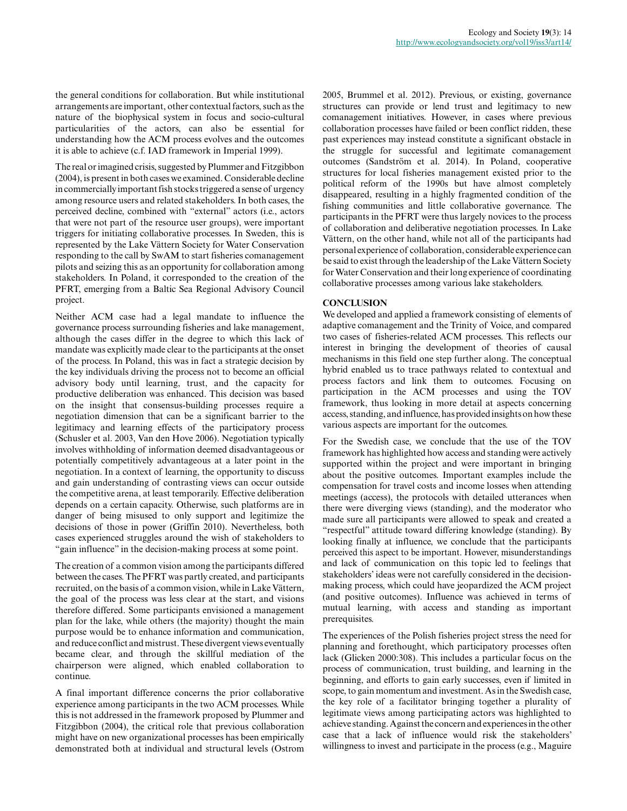the general conditions for collaboration. But while institutional arrangements are important, other contextual factors, such as the nature of the biophysical system in focus and socio-cultural particularities of the actors, can also be essential for understanding how the ACM process evolves and the outcomes it is able to achieve (c.f. IAD framework in Imperial 1999).

The real or imagined crisis, suggested by Plummer and Fitzgibbon (2004), is present in both cases we examined. Considerable decline in commercially important fish stocks triggered a sense of urgency among resource users and related stakeholders. In both cases, the perceived decline, combined with "external" actors (i.e., actors that were not part of the resource user groups), were important triggers for initiating collaborative processes. In Sweden, this is represented by the Lake Vättern Society for Water Conservation responding to the call by SwAM to start fisheries comanagement pilots and seizing this as an opportunity for collaboration among stakeholders. In Poland, it corresponded to the creation of the PFRT, emerging from a Baltic Sea Regional Advisory Council project.

Neither ACM case had a legal mandate to influence the governance process surrounding fisheries and lake management, although the cases differ in the degree to which this lack of mandate was explicitly made clear to the participants at the onset of the process. In Poland, this was in fact a strategic decision by the key individuals driving the process not to become an official advisory body until learning, trust, and the capacity for productive deliberation was enhanced. This decision was based on the insight that consensus-building processes require a negotiation dimension that can be a significant barrier to the legitimacy and learning effects of the participatory process (Schusler et al. 2003, Van den Hove 2006). Negotiation typically involves withholding of information deemed disadvantageous or potentially competitively advantageous at a later point in the negotiation. In a context of learning, the opportunity to discuss and gain understanding of contrasting views can occur outside the competitive arena, at least temporarily. Effective deliberation depends on a certain capacity. Otherwise, such platforms are in danger of being misused to only support and legitimize the decisions of those in power (Griffin 2010). Nevertheless, both cases experienced struggles around the wish of stakeholders to "gain influence" in the decision-making process at some point.

The creation of a common vision among the participants differed between the cases. The PFRT was partly created, and participants recruited, on the basis of a common vision, while in Lake Vättern, the goal of the process was less clear at the start, and visions therefore differed. Some participants envisioned a management plan for the lake, while others (the majority) thought the main purpose would be to enhance information and communication, and reduce conflict and mistrust. These divergent views eventually became clear, and through the skillful mediation of the chairperson were aligned, which enabled collaboration to continue.

A final important difference concerns the prior collaborative experience among participants in the two ACM processes. While this is not addressed in the framework proposed by Plummer and Fitzgibbon (2004), the critical role that previous collaboration might have on new organizational processes has been empirically demonstrated both at individual and structural levels (Ostrom 2005, Brummel et al. 2012). Previous, or existing, governance structures can provide or lend trust and legitimacy to new comanagement initiatives. However, in cases where previous collaboration processes have failed or been conflict ridden, these past experiences may instead constitute a significant obstacle in the struggle for successful and legitimate comanagement outcomes (Sandström et al. 2014). In Poland, cooperative structures for local fisheries management existed prior to the political reform of the 1990s but have almost completely disappeared, resulting in a highly fragmented condition of the fishing communities and little collaborative governance. The participants in the PFRT were thus largely novices to the process of collaboration and deliberative negotiation processes. In Lake Vättern, on the other hand, while not all of the participants had personal experience of collaboration, considerable experience can be said to exist through the leadership of the Lake Vättern Society for Water Conservation and their long experience of coordinating collaborative processes among various lake stakeholders.

# **CONCLUSION**

We developed and applied a framework consisting of elements of adaptive comanagement and the Trinity of Voice, and compared two cases of fisheries-related ACM processes. This reflects our interest in bringing the development of theories of causal mechanisms in this field one step further along. The conceptual hybrid enabled us to trace pathways related to contextual and process factors and link them to outcomes. Focusing on participation in the ACM processes and using the TOV framework, thus looking in more detail at aspects concerning access, standing, and influence, has provided insights on how these various aspects are important for the outcomes.

For the Swedish case, we conclude that the use of the TOV framework has highlighted how access and standing were actively supported within the project and were important in bringing about the positive outcomes. Important examples include the compensation for travel costs and income losses when attending meetings (access), the protocols with detailed utterances when there were diverging views (standing), and the moderator who made sure all participants were allowed to speak and created a "respectful" attitude toward differing knowledge (standing). By looking finally at influence, we conclude that the participants perceived this aspect to be important. However, misunderstandings and lack of communication on this topic led to feelings that stakeholders' ideas were not carefully considered in the decisionmaking process, which could have jeopardized the ACM project (and positive outcomes). Influence was achieved in terms of mutual learning, with access and standing as important prerequisites.

The experiences of the Polish fisheries project stress the need for planning and forethought, which participatory processes often lack (Glicken 2000:308). This includes a particular focus on the process of communication, trust building, and learning in the beginning, and efforts to gain early successes, even if limited in scope, to gain momentum and investment. As in the Swedish case, the key role of a facilitator bringing together a plurality of legitimate views among participating actors was highlighted to achieve standing. Against the concern and experiences in the other case that a lack of influence would risk the stakeholders' willingness to invest and participate in the process (e.g., Maguire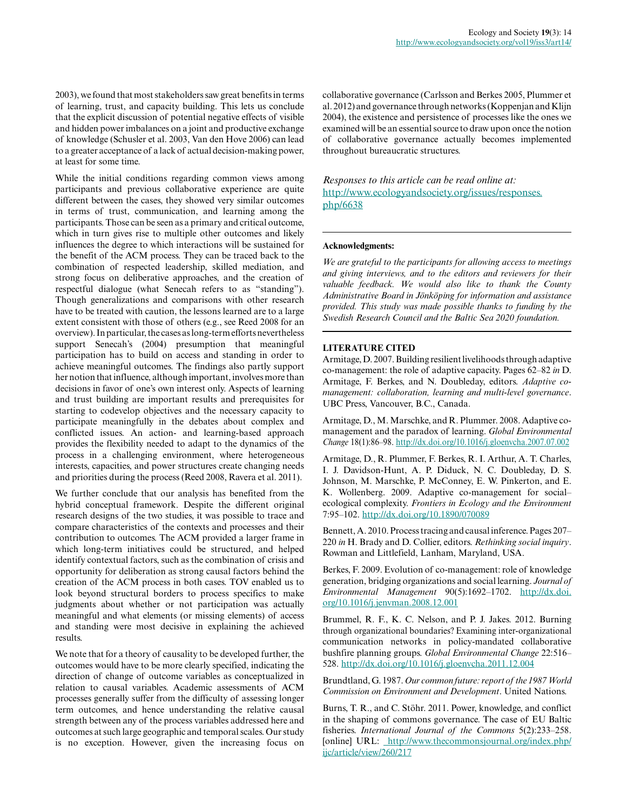2003), we found that most stakeholders saw great benefits in terms of learning, trust, and capacity building. This lets us conclude that the explicit discussion of potential negative effects of visible and hidden power imbalances on a joint and productive exchange of knowledge (Schusler et al. 2003, Van den Hove 2006) can lead to a greater acceptance of a lack of actual decision-making power, at least for some time.

While the initial conditions regarding common views among participants and previous collaborative experience are quite different between the cases, they showed very similar outcomes in terms of trust, communication, and learning among the participants. Those can be seen as a primary and critical outcome, which in turn gives rise to multiple other outcomes and likely influences the degree to which interactions will be sustained for the benefit of the ACM process. They can be traced back to the combination of respected leadership, skilled mediation, and strong focus on deliberative approaches, and the creation of respectful dialogue (what Senecah refers to as "standing"). Though generalizations and comparisons with other research have to be treated with caution, the lessons learned are to a large extent consistent with those of others (e.g., see Reed 2008 for an overview). In particular, the cases as long-term efforts nevertheless support Senecah's (2004) presumption that meaningful participation has to build on access and standing in order to achieve meaningful outcomes. The findings also partly support her notion that influence, although important, involves more than decisions in favor of one's own interest only. Aspects of learning and trust building are important results and prerequisites for starting to codevelop objectives and the necessary capacity to participate meaningfully in the debates about complex and conflicted issues. An action- and learning-based approach provides the flexibility needed to adapt to the dynamics of the process in a challenging environment, where heterogeneous interests, capacities, and power structures create changing needs and priorities during the process (Reed 2008, Ravera et al. 2011).

We further conclude that our analysis has benefited from the hybrid conceptual framework. Despite the different original research designs of the two studies, it was possible to trace and compare characteristics of the contexts and processes and their contribution to outcomes. The ACM provided a larger frame in which long-term initiatives could be structured, and helped identify contextual factors, such as the combination of crisis and opportunity for deliberation as strong causal factors behind the creation of the ACM process in both cases. TOV enabled us to look beyond structural borders to process specifics to make judgments about whether or not participation was actually meaningful and what elements (or missing elements) of access and standing were most decisive in explaining the achieved results.

We note that for a theory of causality to be developed further, the outcomes would have to be more clearly specified, indicating the direction of change of outcome variables as conceptualized in relation to causal variables. Academic assessments of ACM processes generally suffer from the difficulty of assessing longer term outcomes, and hence understanding the relative causal strength between any of the process variables addressed here and outcomes at such large geographic and temporal scales. Our study is no exception. However, given the increasing focus on

collaborative governance (Carlsson and Berkes 2005, Plummer et al. 2012) and governance through networks (Koppenjan and Klijn 2004), the existence and persistence of processes like the ones we examined will be an essential source to draw upon once the notion of collaborative governance actually becomes implemented throughout bureaucratic structures.

*Responses to this article can be read online at:* [http://www.ecologyandsociety.org/issues/responses.](http://www.ecologyandsociety.org/issues/responses.php/6638) [php/6638](http://www.ecologyandsociety.org/issues/responses.php/6638)

# **Acknowledgments:**

*We are grateful to the participants for allowing access to meetings and giving interviews, and to the editors and reviewers for their valuable feedback. We would also like to thank the County Administrative Board in Jönköping for information and assistance provided. This study was made possible thanks to funding by the Swedish Research Council and the Baltic Sea 2020 foundation.*

## **LITERATURE CITED**

Armitage, D. 2007. Building resilient livelihoods through adaptive co-management: the role of adaptive capacity. Pages 62–82 *in* D. Armitage, F. Berkes, and N. Doubleday, editors. *Adaptive comanagement: collaboration, learning and multi-level governance*. UBC Press, Vancouver, B.C., Canada.

Armitage, D., M. Marschke, and R. Plummer. 2008. Adaptive comanagement and the paradox of learning. *Global Environmental Change* 18(1):86–98. [http://dx.doi.org/10.1016/j.gloenvcha.2007.07.002](http://dx.doi.org/10.1016%2Fj.gloenvcha.2007.07.002)

Armitage, D., R. Plummer, F. Berkes, R. I. Arthur, A. T. Charles, I. J. Davidson-Hunt, A. P. Diduck, N. C. Doubleday, D. S. Johnson, M. Marschke, P. McConney, E. W. Pinkerton, and E. K. Wollenberg. 2009. Adaptive co-management for social– ecological complexity. *Frontiers in Ecology and the Environment* 7:95–102. [http://dx.doi.org/10.1890/070089](http://dx.doi.org/10.1890%2F070089)

Bennett, A. 2010. Process tracing and causal inference. Pages 207– 220 *in* H. Brady and D. Collier, editors. *Rethinking social inquiry*. Rowman and Littlefield, Lanham, Maryland, USA.

Berkes, F. 2009. Evolution of co-management: role of knowledge generation, bridging organizations and social learning. *Journal of Environmental Management* 90(5):1692–1702. [http://dx.doi.](http://dx.doi.org/10.1016%2Fj.jenvman.2008.12.001) [org/10.1016/j.jenvman.2008.12.001](http://dx.doi.org/10.1016%2Fj.jenvman.2008.12.001)

Brummel, R. F., K. C. Nelson, and P. J. Jakes. 2012. Burning through organizational boundaries? Examining inter-organizational communication networks in policy-mandated collaborative bushfire planning groups. *Global Environmental Change* 22:516– 528. [http://dx.doi.org/10.1016/j.gloenvcha.2011.12.004](http://dx.doi.org/10.1016%2Fj.gloenvcha.2011.12.004)

Brundtland, G. 1987. *Our common future: report of the 1987 World Commission on Environment and Development*. United Nations.

Burns, T. R., and C. Stöhr. 2011. Power, knowledge, and conflict in the shaping of commons governance. The case of EU Baltic fisheries. *International Journal of the Commons* 5(2):233–258. [online] URL: [http://www.thecommonsjournal.org/index.php/](http://www.thecommonsjournal.org/index.php/ijc/article/view/260/217) [ijc/article/view/260/217](http://www.thecommonsjournal.org/index.php/ijc/article/view/260/217)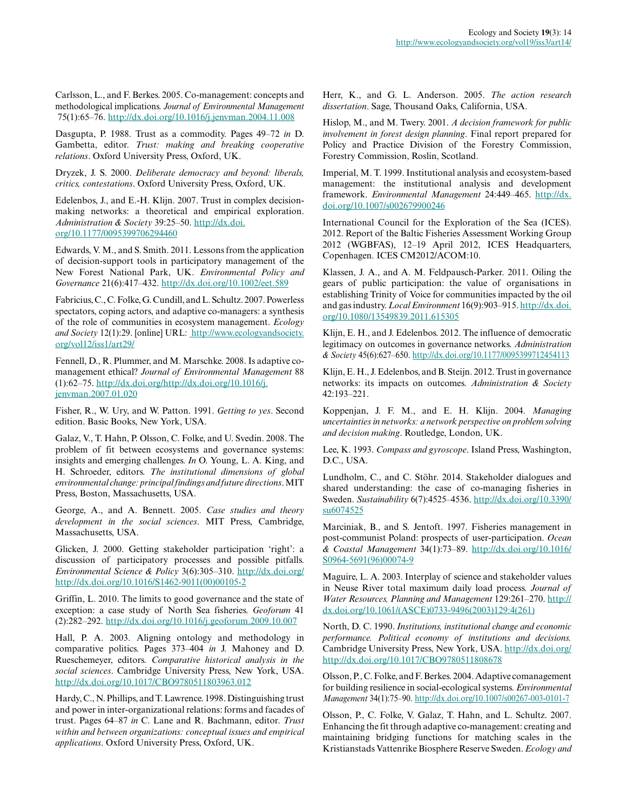Carlsson, L., and F. Berkes. 2005. Co-management: concepts and methodological implications. *Journal of Environmental Management* 75(1):65–76. [http://dx.doi.org/10.1016/j.jenvman.2004.11.008](http://dx.doi.org/10.1016%2Fj.jenvman.2004.11.008) 

Dasgupta, P. 1988. Trust as a commodity. Pages 49–72 *in* D. Gambetta, editor. *Trust: making and breaking cooperative relations*. Oxford University Press, Oxford, UK.

Dryzek, J. S. 2000. *Deliberate democracy and beyond: liberals, critics, contestations*. Oxford University Press, Oxford, UK.

Edelenbos, J., and E.-H. Klijn. 2007. Trust in complex decisionmaking networks: a theoretical and empirical exploration. *Administration & Society* 39:25–50. [http://dx.doi.](http://dx.doi.org/10.1177%2F0095399706294460) [org/10.1177/0095399706294460](http://dx.doi.org/10.1177%2F0095399706294460)

Edwards, V. M., and S. Smith. 2011. Lessons from the application of decision-support tools in participatory management of the New Forest National Park, UK. *Environmental Policy and Governance* 21(6):417–432. [http://dx.doi.org/10.1002/eet.589](http://dx.doi.org/10.1002%2Feet.589)

Fabricius, C., C. Folke, G. Cundill, and L. Schultz. 2007. Powerless spectators, coping actors, and adaptive co-managers: a synthesis of the role of communities in ecosystem management. *Ecology and Society* 12(1):29. [online] URL: [http://www.ecologyandsociety.](http://www.ecologyandsociety.org/vol12/iss1/art29/) [org/vol12/iss1/art29/](http://www.ecologyandsociety.org/vol12/iss1/art29/)

Fennell, D., R. Plummer, and M. Marschke. 2008. Is adaptive comanagement ethical? *Journal of Environmental Management* 88 (1):62–75. [http://dx.doi.org/http://dx.doi.org/10.1016/j.](http://dx.doi.org/http%3A%2F%2Fdx.doi.org%2F10.1016%2Fj.jenvman.2007.01.020) [jenvman.2007.01.020](http://dx.doi.org/http%3A%2F%2Fdx.doi.org%2F10.1016%2Fj.jenvman.2007.01.020)

Fisher, R., W. Ury, and W. Patton. 1991. *Getting to yes*. Second edition. Basic Books, New York, USA.

Galaz, V., T. Hahn, P. Olsson, C. Folke, and U. Svedin. 2008. The problem of fit between ecosystems and governance systems: insights and emerging challenges. *In* O. Young, L. A. King, and H. Schroeder, editors. *The institutional dimensions of global environmental change: principal findings and future directions*. MIT Press, Boston, Massachusetts, USA.

George, A., and A. Bennett. 2005. *Case studies and theory development in the social sciences*. MIT Press, Cambridge, Massachusetts, USA.

Glicken, J. 2000. Getting stakeholder participation 'right': a discussion of participatory processes and possible pitfalls. *Environmental Science & Policy* 3(6):305–310. [http://dx.doi.org/](http://dx.doi.org/http%3A%2F%2Fdx.doi.org%2F10.1016%2FS1462-9011%2800%2900105-2) [http://dx.doi.org/10.1016/S1462-9011\(00\)00105-2](http://dx.doi.org/http%3A%2F%2Fdx.doi.org%2F10.1016%2FS1462-9011%2800%2900105-2)

Griffin, L. 2010. The limits to good governance and the state of exception: a case study of North Sea fisheries. *Geoforum* 41 (2):282–292. [http://dx.doi.org/10.1016/j.geoforum.2009.10.007](http://dx.doi.org/10.1016%2Fj.geoforum.2009.10.007)

Hall, P. A. 2003. Aligning ontology and methodology in comparative politics. Pages 373–404 *in* J. Mahoney and D. Rueschemeyer, editors. *Comparative historical analysis in the social sciences*. Cambridge University Press, New York, USA. [http://dx.doi.org/10.1017/CBO9780511803963.012](http://dx.doi.org/10.1017%2FCBO9780511803963.012)

Hardy, C., N. Phillips, and T. Lawrence. 1998. Distinguishing trust and power in inter-organizational relations: forms and facades of trust. Pages 64–87 *in* C. Lane and R. Bachmann, editor. *Trust within and between organizations: conceptual issues and empirical applications*. Oxford University Press, Oxford, UK.

Herr, K., and G. L. Anderson. 2005. *The action research dissertation*. Sage, Thousand Oaks, California, USA.

Hislop, M., and M. Twery. 2001. *A decision framework for public involvement in forest design planning*. Final report prepared for Policy and Practice Division of the Forestry Commission, Forestry Commission, Roslin, Scotland.

Imperial, M. T. 1999. Institutional analysis and ecosystem-based management: the institutional analysis and development framework. *Environmental Management* 24:449–465. [http://dx.](http://dx.doi.org/10.1007%2Fs002679900246) [doi.org/10.1007/s002679900246](http://dx.doi.org/10.1007%2Fs002679900246)

International Council for the Exploration of the Sea (ICES). 2012. Report of the Baltic Fisheries Assessment Working Group 2012 (WGBFAS), 12–19 April 2012, ICES Headquarters, Copenhagen. ICES CM2012/ACOM:10.

Klassen, J. A., and A. M. Feldpausch-Parker. 2011. Oiling the gears of public participation: the value of organisations in establishing Trinity of Voice for communities impacted by the oil and gas industry. *Local Environment* 16(9):903–915. [http://dx.doi.](http://dx.doi.org/10.1080%2F13549839.2011.615305) [org/10.1080/13549839.2011.615305](http://dx.doi.org/10.1080%2F13549839.2011.615305)

Klijn, E. H., and J. Edelenbos. 2012. The influence of democratic legitimacy on outcomes in governance networks. *Administration & Society* 45(6):627–650. [http://dx.doi.org/10.1177/0095399712454113](http://dx.doi.org/10.1177%2F0095399712454113)

Klijn, E. H., J. Edelenbos, and B. Steijn. 2012. Trust in governance networks: its impacts on outcomes. *Administration & Society* 42:193–221.

Koppenjan, J. F. M., and E. H. Klijn. 2004. *Managing uncertainties in networks: a network perspective on problem solving and decision making*. Routledge, London, UK.

Lee, K. 1993. *Compass and gyroscope*. Island Press, Washington, D.C., USA.

Lundholm, C., and C. Stöhr. 2014. Stakeholder dialogues and shared understanding: the case of co-managing fisheries in Sweden. *Sustainability* 6(7):4525–4536. [http://dx.doi.org/10.3390/](http://dx.doi.org/10.3390/su6074525) [su6074525](http://dx.doi.org/10.3390/su6074525)

Marciniak, B., and S. Jentoft. 1997. Fisheries management in post-communist Poland: prospects of user-participation. *Ocean & Coastal Management* 34(1):73–89. [http://dx.doi.org/10.1016/](http://dx.doi.org/10.1016%2FS0964-5691%2896%2900074-9) [S0964-5691\(96\)00074-9](http://dx.doi.org/10.1016%2FS0964-5691%2896%2900074-9)

Maguire, L. A. 2003. Interplay of science and stakeholder values in Neuse River total maximum daily load process. *Journal of Water Resources, Planning and Management* 129:261–270. [http://](http://dx.doi.org/10.1061%2F%28ASCE%290733-9496%282003%29129%3A4%28261%29) [dx.doi.org/10.1061/\(ASCE\)0733-9496\(2003\)129:4\(261\)](http://dx.doi.org/10.1061%2F%28ASCE%290733-9496%282003%29129%3A4%28261%29)

North, D. C. 1990. *Institutions, institutional change and economic performance. Political economy of institutions and decisions.* Cambridge University Press, New York, USA. [http://dx.doi.org/](http://dx.doi.org/http%3A%2F%2Fdx.doi.org%2F10.1017%2FCBO9780511808678) [http://dx.doi.org/10.1017/CBO9780511808678](http://dx.doi.org/http%3A%2F%2Fdx.doi.org%2F10.1017%2FCBO9780511808678)

Olsson, P., C. Folke, and F. Berkes. 2004. Adaptive comanagement for building resilience in social-ecological systems. *Environmental Management* 34(1):75–90. [http://dx.doi.org/10.1007/s00267-003-0101-7](http://dx.doi.org/10.1007%2Fs00267-003-0101-7)

Olsson, P., C. Folke, V. Galaz, T. Hahn, and L. Schultz. 2007. Enhancing the fit through adaptive co-management: creating and maintaining bridging functions for matching scales in the Kristianstads Vattenrike Biosphere Reserve Sweden. *Ecology and*